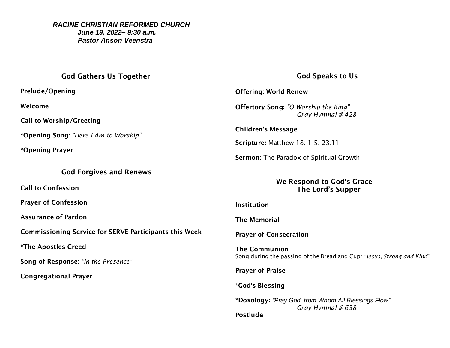### *RACINE CHRISTIAN REFORMED CHURCH June 19, 2022– 9:30 a.m. Pastor Anson Veenstra*

# God Gathers Us Together

Prelude/Opening

Welcome

Call to Worship/Greeting

\*Opening Song: *"Here I Am to Worship"*

\*Opening Prayer

### God Forgives and Renews

Call to Confession

Prayer of Confession

Assurance of Pardon

Commissioning Service for SERVE Participants this Week

\*The Apostles Creed

Song of Response: *"In the Presence"*

Congregational Prayer

# God Speaks to Us

Offering: World Renew

Offertory Song: *"O Worship the King" Gray Hymnal # 428*

Children's Message

Scripture: Matthew 18: 1-5; 23:11

Sermon: The Paradox of Spiritual Growth

We Respond to God's Grace The Lord's Supper

### Institution

The Memorial

Prayer of Consecration

The Communion Song during the passing of the Bread and Cup: *"Jesus, Strong and Kind"*

Prayer of Praise

### \*God's Blessing

\*Doxology: *"Pray God, from Whom All Blessings Flow" Gray Hymnal # 638* Postlude